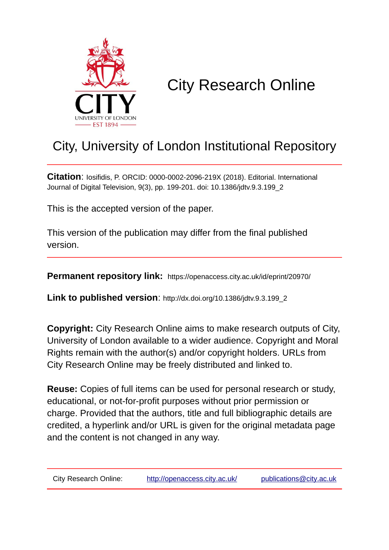

# City Research Online

# City, University of London Institutional Repository

**Citation**: Iosifidis, P. ORCID: 0000-0002-2096-219X (2018). Editorial. International Journal of Digital Television, 9(3), pp. 199-201. doi: 10.1386/jdtv.9.3.199\_2

This is the accepted version of the paper.

This version of the publication may differ from the final published version.

**Permanent repository link:** https://openaccess.city.ac.uk/id/eprint/20970/

**Link to published version**: http://dx.doi.org/10.1386/jdtv.9.3.199\_2

**Copyright:** City Research Online aims to make research outputs of City, University of London available to a wider audience. Copyright and Moral Rights remain with the author(s) and/or copyright holders. URLs from City Research Online may be freely distributed and linked to.

**Reuse:** Copies of full items can be used for personal research or study, educational, or not-for-profit purposes without prior permission or charge. Provided that the authors, title and full bibliographic details are credited, a hyperlink and/or URL is given for the original metadata page and the content is not changed in any way.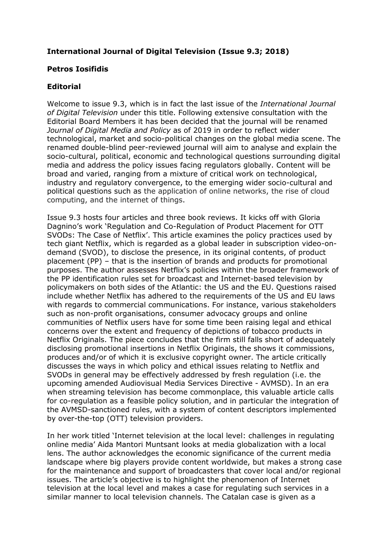## **International Journal of Digital Television (Issue 9.3; 2018)**

### **Petros Iosifidis**

#### **Editorial**

Welcome to issue 9.3, which is in fact the last issue of the *International Journal of Digital Television* under this title. Following extensive consultation with the Editorial Board Members it has been decided that the journal will be renamed *Journal of Digital Media and Policy* as of 2019 in order to reflect wider technological, market and socio-political changes on the global media scene. The renamed double-blind peer-reviewed journal will aim to analyse and explain the socio-cultural, political, economic and technological questions surrounding digital media and address the policy issues facing regulators globally. Content will be broad and varied, ranging from a mixture of critical work on technological, industry and regulatory convergence, to the emerging wider socio-cultural and political questions such as the application of online networks, the rise of cloud computing, and the internet of things.

Issue 9.3 hosts four articles and three book reviews. It kicks off with Gloria Dagnino's work 'Regulation and Co-Regulation of Product Placement for OTT SVODs: The Case of Netflix'. This article examines the policy practices used by tech giant Netflix, which is regarded as a global leader in subscription video-ondemand (SVOD), to disclose the presence, in its original contents, of product placement (PP) – that is the insertion of brands and products for promotional purposes. The author assesses Netflix's policies within the broader framework of the PP identification rules set for broadcast and Internet-based television by policymakers on both sides of the Atlantic: the US and the EU. Questions raised include whether Netflix has adhered to the requirements of the US and EU laws with regards to commercial communications. For instance, various stakeholders such as non-profit organisations, consumer advocacy groups and online communities of Netflix users have for some time been raising legal and ethical concerns over the extent and frequency of depictions of tobacco products in Netflix Originals. The piece concludes that the firm still falls short of adequately disclosing promotional insertions in Netflix Originals, the shows it commissions, produces and/or of which it is exclusive copyright owner. The article critically discusses the ways in which policy and ethical issues relating to Netflix and SVODs in general may be effectively addressed by fresh regulation (i.e. the upcoming amended Audiovisual Media Services Directive - AVMSD). In an era when streaming television has become commonplace, this valuable article calls for co-regulation as a feasible policy solution, and in particular the integration of the AVMSD-sanctioned rules, with a system of content descriptors implemented by over-the-top (OTT) television providers.

In her work titled 'Internet television at the local level: challenges in regulating online media' Aida Mantori Muntsant looks at media globalization with a local lens. The author acknowledges the economic significance of the current media landscape where big players provide content worldwide, but makes a strong case for the maintenance and support of broadcasters that cover local and/or regional issues. The article's objective is to highlight the phenomenon of Internet television at the local level and makes a case for regulating such services in a similar manner to local television channels. The Catalan case is given as a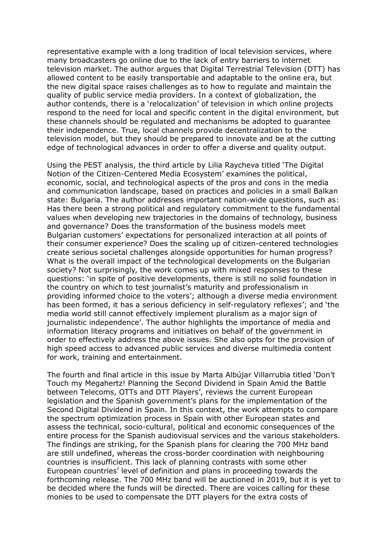representative example with a long tradition of local television services, where many broadcasters go online due to the lack of entry barriers to internet television market. The author argues that Digital Terrestrial Television (DTT) has allowed content to be easily transportable and adaptable to the online era, but the new digital space raises challenges as to how to regulate and maintain the quality of public service media providers. In a context of globalization, the author contends, there is a 'relocalization' of television in which online projects respond to the need for local and specific content in the digital environment, but these channels should be regulated and mechanisms be adopted to guarantee their independence. True, local channels provide decentralization to the television model, but they should be prepared to innovate and be at the cutting edge of technological advances in order to offer a diverse and quality output.

Using the PEST analysis, the third article by Lilia Raycheva titled 'The Digital Notion of the Citizen-Centered Media Ecosystem' examines the political, economic, social, and technological aspects of the pros and cons in the media and communication landscape, based on practices and policies in a small Balkan state: Bulgaria. The author addresses important nation-wide questions, such as: Has there been a strong political and regulatory commitment to the fundamental values when developing new trajectories in the domains of technology, business and governance? Does the transformation of the business models meet Bulgarian customers' expectations for personalized interaction at all points of their consumer experience? Does the scaling up of citizen-centered technologies create serious societal challenges alongside opportunities for human progress? What is the overall impact of the technological developments on the Bulgarian society? Not surprisingly, the work comes up with mixed responses to these questions: 'in spite of positive developments, there is still no solid foundation in the country on which to test journalist's maturity and professionalism in providing informed choice to the voters'; although a diverse media environment has been formed, it has a serious deficiency in self-regulatory reflexes'; and 'the media world still cannot effectively implement pluralism as a major sign of journalistic independence'. The author highlights the importance of media and information literacy programs and initiatives on behalf of the government in order to effectively address the above issues. She also opts for the provision of high speed access to advanced public services and diverse multimedia content for work, training and entertainment.

The fourth and final article in this issue by Marta Albújar Villarrubia titled 'Don't Touch my Megahertz! Planning the Second Dividend in Spain Amid the Battle between Telecoms, OTTs and DTT Players', reviews the current European legislation and the Spanish government's plans for the implementation of the Second Digital Dividend in Spain. In this context, the work attempts to compare the spectrum optimization process in Spain with other European states and assess the technical, socio-cultural, political and economic consequences of the entire process for the Spanish audiovisual services and the various stakeholders. The findings are striking, for the Spanish plans for clearing the 700 MHz band are still undefined, whereas the cross-border coordination with neighbouring countries is insufficient. This lack of planning contrasts with some other European countries' level of definition and plans in proceeding towards the forthcoming release. The 700 MHz band will be auctioned in 2019, but it is yet to be decided where the funds will be directed. There are voices calling for these monies to be used to compensate the DTT players for the extra costs of